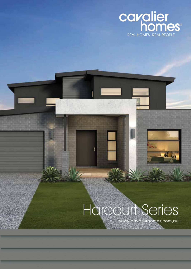

# Harcourt Series

ŧ

www.cavalierhomes.com.au**SAMPLE COMPANY**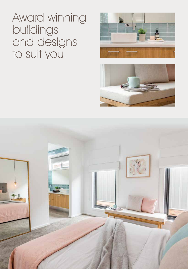Award winning buildings and designs to suit you.





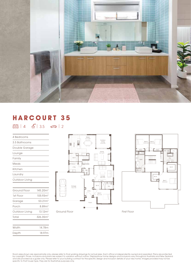

### **HARCOURT 35**

 $\boxed{29}$  | 4  $\boxed{4}$  | 3.5  $\boxed{39}$  | 2

| 4 Bedrooms     |                      |
|----------------|----------------------|
| 3.5 Bathrooms  |                      |
| Double Garage  |                      |
| Lounge         |                      |
| Family         |                      |
| Meals          |                      |
| Kitchen        |                      |
| Laundry        |                      |
| Outdoor Living |                      |
|                |                      |
| Ground Floor   | 145.20m <sup>2</sup> |
| 1st Floor      | 105.93 <sup>2</sup>  |
| Garage         | 53.21m <sup>2</sup>  |
| Porch          | 8.89 <sup>2</sup>    |
| Outdoor Living | 13.12 <sup>2</sup>   |
| Total          | 326.35 <sup>2</sup>  |
|                |                      |
| Width          | 14.78m               |





Width 14.78m Depth 18.97m

Room sizes shown are approximate only, please refer to final working drawings for actual sizes. Each office is independently owned and operated. Plans are protected<br>by copyright. Prices, inclusions and plans are subject to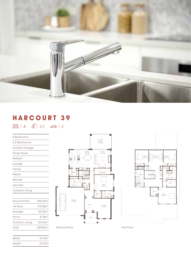

Outdoor Living 5.2 x 3.8

### **HARCOURT 39**

 $\boxed{23}$  | 4  $\boxed{4}$  | 3.5  $\boxed{63}$  | 2

| 4 Bedrooms     |                      |
|----------------|----------------------|
| 3.5 Bathrooms  |                      |
| Double Garage  |                      |
| Study Nook     |                      |
| Retreat        |                      |
| Lounge         |                      |
| Family         |                      |
| Meals          |                      |
| Kitchen        |                      |
| Laundry        |                      |
| Outdoor Living |                      |
|                |                      |
| Ground Floor   | 158.24m <sup>2</sup> |
| 1st Floor      | 119.08m <sup>2</sup> |
| Garage         | 53.23m <sup>2</sup>  |
| Porch          | 8.78m <sup>2</sup>   |
| Outdoor Living | 20.63 <sup>2</sup>   |
| Total          | 359.96m <sup>2</sup> |
|                |                      |

Width 14.78m Depth 22.47m

|                            |                                                 | ╕                                                 |
|----------------------------|-------------------------------------------------|---------------------------------------------------|
| ÷<br>Kitchen<br>團<br>ı     | Meals<br>$2.8 \times 4.5$<br>RR<br>J<br>H<br>uu | Family<br>$4.0 \times 4.5$                        |
| . j<br>W.I.P.              | ł<br>ī<br>T<br>ïî<br>Ť<br>î<br>î<br>ш           | Study Nook                                        |
| L'Dry                      | O                                               | Bed 4<br>$4.8 \times 4.0$                         |
|                            | H                                               | W.I.R.<br>Ens<br>c<br>$\overline{\mathbf{\circ}}$ |
| Garage<br>$7.0 \times 7.0$ | Entry<br>П                                      | Lounge<br>$4.2 \times 5.0$                        |
|                            | Porch                                           |                                                   |



Ground Floor First Floor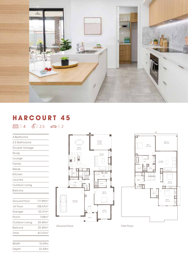

#### **HARCOURT 45**

 $\boxed{23}$  | 4  $\boxed{6}$  | 2.5  $\boxed{63}$  | 2

| 4 Bedrooms     |                      |
|----------------|----------------------|
| 3.5 Bathrooms  |                      |
| Double Garage  |                      |
| Study          |                      |
| Lounge         |                      |
| Family         |                      |
| Meals          |                      |
| Kitchen        |                      |
| Laundry        |                      |
| Outdoor Living |                      |
| <b>Balcony</b> |                      |
|                |                      |
| Ground Floor   | 177.89m <sup>2</sup> |
| 1st Floor      | 138.57m <sup>2</sup> |
| Garage         | 53.21m <sup>2</sup>  |
| Porch          | 7.08 <sup>2</sup>    |
| Outdoor Living | 20.40 <sup>m²</sup>  |
| <b>Balcony</b> | 20.40 <sup>2</sup>   |
| Total          | 417.61m <sup>2</sup> |

Width 15.09m Depth 22.44m